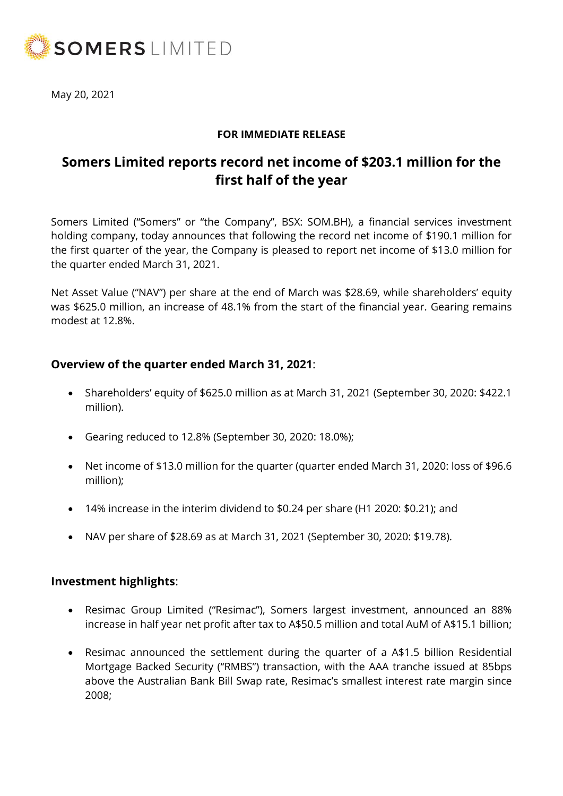

May 20, 2021

### **FOR IMMEDIATE RELEASE**

# **Somers Limited reports record net income of \$203.1 million for the first half of the year**

Somers Limited ("Somers" or "the Company", BSX: SOM.BH), a financial services investment holding company, today announces that following the record net income of \$190.1 million for the first quarter of the year, the Company is pleased to report net income of \$13.0 million for the quarter ended March 31, 2021.

Net Asset Value ("NAV") per share at the end of March was \$28.69, while shareholders' equity was \$625.0 million, an increase of 48.1% from the start of the financial year. Gearing remains modest at 12.8%.

# **Overview of the quarter ended March 31, 2021**:

- Shareholders' equity of \$625.0 million as at March 31, 2021 (September 30, 2020: \$422.1 million).
- Gearing reduced to 12.8% (September 30, 2020: 18.0%);
- Net income of \$13.0 million for the quarter (quarter ended March 31, 2020: loss of \$96.6 million);
- 14% increase in the interim dividend to \$0.24 per share (H1 2020: \$0.21); and
- NAV per share of \$28.69 as at March 31, 2021 (September 30, 2020: \$19.78).

#### **Investment highlights**:

- Resimac Group Limited ("Resimac"), Somers largest investment, announced an 88% increase in half year net profit after tax to A\$50.5 million and total AuM of A\$15.1 billion;
- Resimac announced the settlement during the quarter of a A\$1.5 billion Residential Mortgage Backed Security ("RMBS") transaction, with the AAA tranche issued at 85bps above the Australian Bank Bill Swap rate, Resimac's smallest interest rate margin since 2008;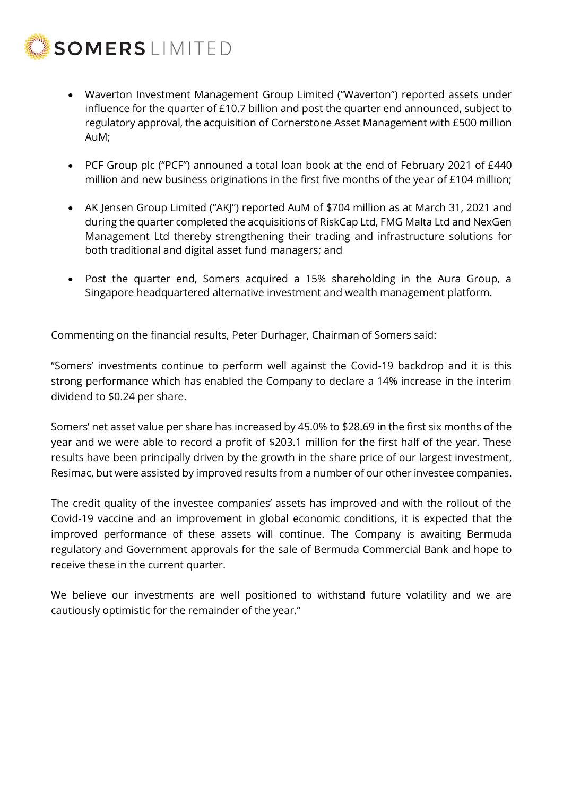

- Waverton Investment Management Group Limited ("Waverton") reported assets under influence for the quarter of £10.7 billion and post the quarter end announced, subject to regulatory approval, the acquisition of Cornerstone Asset Management with £500 million AuM;
- PCF Group plc ("PCF") announed a total loan book at the end of February 2021 of £440 million and new business originations in the first five months of the year of £104 million;
- AK Jensen Group Limited ("AKJ") reported AuM of \$704 million as at March 31, 2021 and during the quarter completed the acquisitions of RiskCap Ltd, FMG Malta Ltd and NexGen Management Ltd thereby strengthening their trading and infrastructure solutions for both traditional and digital asset fund managers; and
- Post the quarter end, Somers acquired a 15% shareholding in the Aura Group, a Singapore headquartered alternative investment and wealth management platform.

Commenting on the financial results, Peter Durhager, Chairman of Somers said:

"Somers' investments continue to perform well against the Covid-19 backdrop and it is this strong performance which has enabled the Company to declare a 14% increase in the interim dividend to \$0.24 per share.

Somers' net asset value per share has increased by 45.0% to \$28.69 in the first six months of the year and we were able to record a profit of \$203.1 million for the first half of the year. These results have been principally driven by the growth in the share price of our largest investment, Resimac, but were assisted by improved results from a number of our other investee companies.

The credit quality of the investee companies' assets has improved and with the rollout of the Covid-19 vaccine and an improvement in global economic conditions, it is expected that the improved performance of these assets will continue. The Company is awaiting Bermuda regulatory and Government approvals for the sale of Bermuda Commercial Bank and hope to receive these in the current quarter.

We believe our investments are well positioned to withstand future volatility and we are cautiously optimistic for the remainder of the year."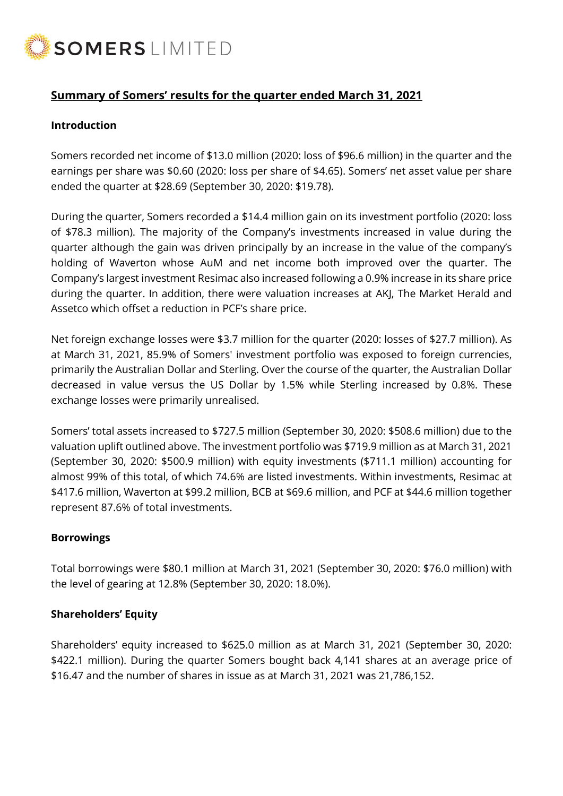

# **Summary of Somers' results for the quarter ended March 31, 2021**

#### **Introduction**

Somers recorded net income of \$13.0 million (2020: loss of \$96.6 million) in the quarter and the earnings per share was \$0.60 (2020: loss per share of \$4.65). Somers' net asset value per share ended the quarter at \$28.69 (September 30, 2020: \$19.78).

During the quarter, Somers recorded a \$14.4 million gain on its investment portfolio (2020: loss of \$78.3 million). The majority of the Company's investments increased in value during the quarter although the gain was driven principally by an increase in the value of the company's holding of Waverton whose AuM and net income both improved over the quarter. The Company's largest investment Resimac also increased following a 0.9% increase in its share price during the quarter. In addition, there were valuation increases at AKJ, The Market Herald and Assetco which offset a reduction in PCF's share price.

Net foreign exchange losses were \$3.7 million for the quarter (2020: losses of \$27.7 million). As at March 31, 2021, 85.9% of Somers' investment portfolio was exposed to foreign currencies, primarily the Australian Dollar and Sterling. Over the course of the quarter, the Australian Dollar decreased in value versus the US Dollar by 1.5% while Sterling increased by 0.8%. These exchange losses were primarily unrealised.

Somers' total assets increased to \$727.5 million (September 30, 2020: \$508.6 million) due to the valuation uplift outlined above. The investment portfolio was \$719.9 million as at March 31, 2021 (September 30, 2020: \$500.9 million) with equity investments (\$711.1 million) accounting for almost 99% of this total, of which 74.6% are listed investments. Within investments, Resimac at \$417.6 million, Waverton at \$99.2 million, BCB at \$69.6 million, and PCF at \$44.6 million together represent 87.6% of total investments.

#### **Borrowings**

Total borrowings were \$80.1 million at March 31, 2021 (September 30, 2020: \$76.0 million) with the level of gearing at 12.8% (September 30, 2020: 18.0%).

#### **Shareholders' Equity**

Shareholders' equity increased to \$625.0 million as at March 31, 2021 (September 30, 2020: \$422.1 million). During the quarter Somers bought back 4,141 shares at an average price of \$16.47 and the number of shares in issue as at March 31, 2021 was 21,786,152.